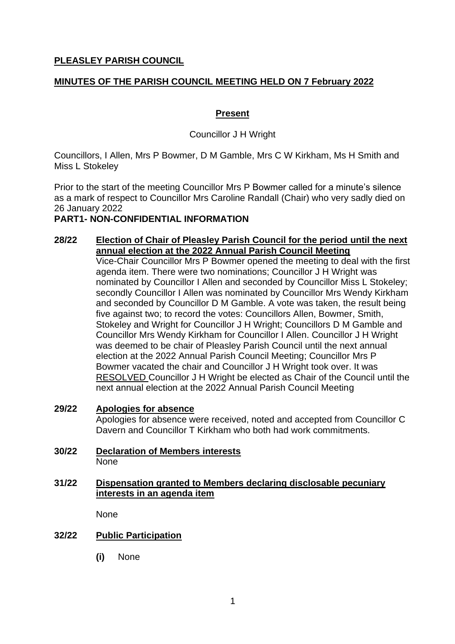## **PLEASLEY PARISH COUNCIL**

## **MINUTES OF THE PARISH COUNCIL MEETING HELD ON 7 February 2022**

## **Present**

Councillor J H Wright

Councillors, I Allen, Mrs P Bowmer, D M Gamble, Mrs C W Kirkham, Ms H Smith and Miss L Stokeley

Prior to the start of the meeting Councillor Mrs P Bowmer called for a minute's silence as a mark of respect to Councillor Mrs Caroline Randall (Chair) who very sadly died on 26 January 2022

## **PART1- NON-CONFIDENTIAL INFORMATION**

## **28/22 Election of Chair of Pleasley Parish Council for the period until the next annual election at the 2022 Annual Parish Council Meeting**

Vice-Chair Councillor Mrs P Bowmer opened the meeting to deal with the first agenda item. There were two nominations; Councillor J H Wright was nominated by Councillor I Allen and seconded by Councillor Miss L Stokeley; secondly Councillor I Allen was nominated by Councillor Mrs Wendy Kirkham and seconded by Councillor D M Gamble. A vote was taken, the result being five against two; to record the votes: Councillors Allen, Bowmer, Smith, Stokeley and Wright for Councillor J H Wright; Councillors D M Gamble and Councillor Mrs Wendy Kirkham for Councillor I Allen. Councillor J H Wright was deemed to be chair of Pleasley Parish Council until the next annual election at the 2022 Annual Parish Council Meeting; Councillor Mrs P Bowmer vacated the chair and Councillor J H Wright took over. It was RESOLVED Councillor J H Wright be elected as Chair of the Council until the next annual election at the 2022 Annual Parish Council Meeting

- **29/22 Apologies for absence** Apologies for absence were received, noted and accepted from Councillor C Davern and Councillor T Kirkham who both had work commitments.
- **30/22 Declaration of Members interests** None

#### **31/22 Dispensation granted to Members declaring disclosable pecuniary interests in an agenda item**

None

# **32/22 Public Participation**

**(i)** None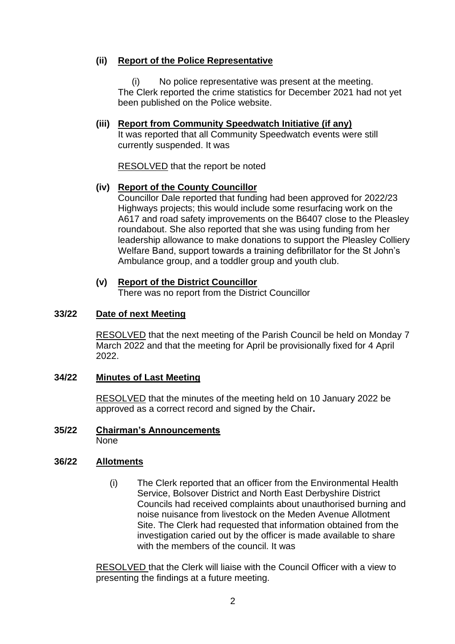## **(ii) Report of the Police Representative**

(i) No police representative was present at the meeting. The Clerk reported the crime statistics for December 2021 had not yet been published on the Police website.

#### **(iii) Report from Community Speedwatch Initiative (if any)** It was reported that all Community Speedwatch events were still

currently suspended. It was

RESOLVED that the report be noted

# **(iv) Report of the County Councillor**

Councillor Dale reported that funding had been approved for 2022/23 Highways projects; this would include some resurfacing work on the A617 and road safety improvements on the B6407 close to the Pleasley roundabout. She also reported that she was using funding from her leadership allowance to make donations to support the Pleasley Colliery Welfare Band, support towards a training defibrillator for the St John's Ambulance group, and a toddler group and youth club.

# **(v) Report of the District Councillor**

There was no report from the District Councillor

# **33/22 Date of next Meeting**

RESOLVED that the next meeting of the Parish Council be held on Monday 7 March 2022 and that the meeting for April be provisionally fixed for 4 April 2022.

# **34/22 Minutes of Last Meeting**

RESOLVED that the minutes of the meeting held on 10 January 2022 be approved as a correct record and signed by the Chair**.**

**35/22 Chairman's Announcements** None

# **36/22 Allotments**

(i) The Clerk reported that an officer from the Environmental Health Service, Bolsover District and North East Derbyshire District Councils had received complaints about unauthorised burning and noise nuisance from livestock on the Meden Avenue Allotment Site. The Clerk had requested that information obtained from the investigation caried out by the officer is made available to share with the members of the council. It was

RESOLVED that the Clerk will liaise with the Council Officer with a view to presenting the findings at a future meeting.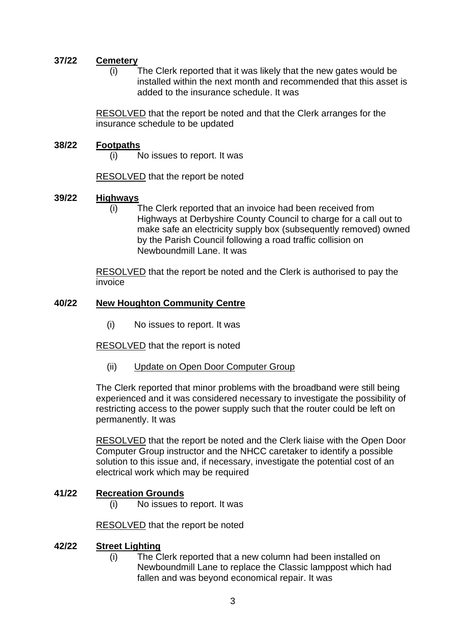## **37/22 Cemetery**

(i) The Clerk reported that it was likely that the new gates would be installed within the next month and recommended that this asset is added to the insurance schedule. It was

RESOLVED that the report be noted and that the Clerk arranges for the insurance schedule to be updated

## **38/22 Footpaths**

(i) No issues to report. It was

RESOLVED that the report be noted

## **39/22 Highways**

(i) The Clerk reported that an invoice had been received from Highways at Derbyshire County Council to charge for a call out to make safe an electricity supply box (subsequently removed) owned by the Parish Council following a road traffic collision on Newboundmill Lane. It was

RESOLVED that the report be noted and the Clerk is authorised to pay the invoice

## **40/22 New Houghton Community Centre**

(i) No issues to report. It was

RESOLVED that the report is noted

(ii) Update on Open Door Computer Group

The Clerk reported that minor problems with the broadband were still being experienced and it was considered necessary to investigate the possibility of restricting access to the power supply such that the router could be left on permanently. It was

RESOLVED that the report be noted and the Clerk liaise with the Open Door Computer Group instructor and the NHCC caretaker to identify a possible solution to this issue and, if necessary, investigate the potential cost of an electrical work which may be required

## **41/22 Recreation Grounds**

(i) No issues to report. It was

RESOLVED that the report be noted

#### **42/22 Street Lighting**

(i) The Clerk reported that a new column had been installed on Newboundmill Lane to replace the Classic lamppost which had fallen and was beyond economical repair. It was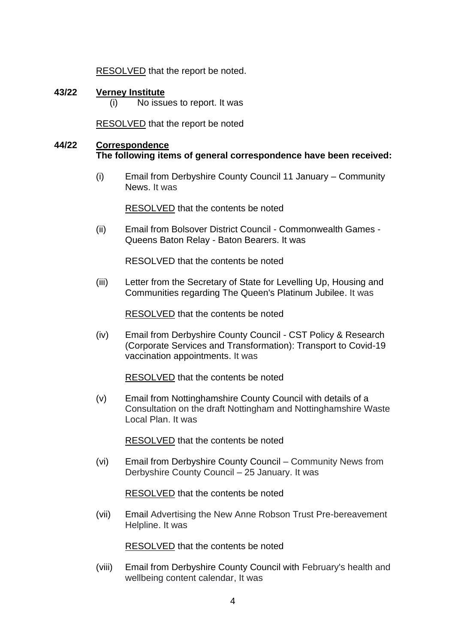RESOLVED that the report be noted.

**43/22 Verney Institute** (i) No issues to report. It was

RESOLVED that the report be noted

## **44/22 Correspondence The following items of general correspondence have been received:**

(i) Email from Derbyshire County Council 11 January – Community News. It was

RESOLVED that the contents be noted

(ii) Email from Bolsover District Council - Commonwealth Games - Queens Baton Relay - Baton Bearers. It was

RESOLVED that the contents be noted

(iii) Letter from the Secretary of State for Levelling Up, Housing and Communities regarding The Queen's Platinum Jubilee. It was

RESOLVED that the contents be noted

(iv) Email from Derbyshire County Council - CST Policy & Research (Corporate Services and Transformation): Transport to Covid-19 vaccination appointments. It was

RESOLVED that the contents be noted

(v) Email from Nottinghamshire County Council with details of a Consultation on the draft Nottingham and Nottinghamshire Waste Local Plan. It was

RESOLVED that the contents be noted

(vi) Email from Derbyshire County Council – Community News from Derbyshire County Council – 25 January. It was

RESOLVED that the contents be noted

(vii) Email Advertising the New Anne Robson Trust Pre-bereavement Helpline. It was

RESOLVED that the contents be noted

(viii) Email from Derbyshire County Council with February's health and wellbeing content calendar, It was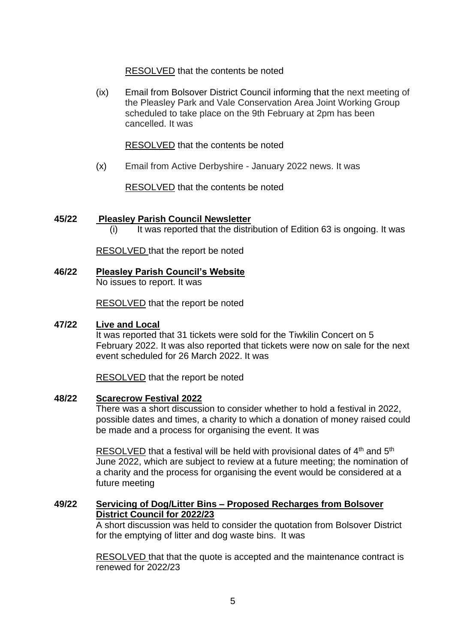## RESOLVED that the contents be noted

(ix) Email from Bolsover District Council informing that the next meeting of the Pleasley Park and Vale Conservation Area Joint Working Group scheduled to take place on the 9th February at 2pm has been cancelled. It was

RESOLVED that the contents be noted

(x) Email from Active Derbyshire - January 2022 news. It was

RESOLVED that the contents be noted

## **45/22 Pleasley Parish Council Newsletter**

 $(i)$  It was reported that the distribution of Edition 63 is ongoing. It was

RESOLVED that the report be noted

**46/22 Pleasley Parish Council's Website** No issues to report. It was

RESOLVED that the report be noted

## **47/22 Live and Local**

It was reported that 31 tickets were sold for the Tiwkilin Concert on 5 February 2022. It was also reported that tickets were now on sale for the next event scheduled for 26 March 2022. It was

RESOLVED that the report be noted

## **48/22 Scarecrow Festival 2022**

There was a short discussion to consider whether to hold a festival in 2022, possible dates and times, a charity to which a donation of money raised could be made and a process for organising the event. It was

RESOLVED that a festival will be held with provisional dates of 4<sup>th</sup> and 5<sup>th</sup> June 2022, which are subject to review at a future meeting; the nomination of a charity and the process for organising the event would be considered at a future meeting

## **49/22 Servicing of Dog/Litter Bins – Proposed Recharges from Bolsover District Council for 2022/23**

A short discussion was held to consider the quotation from Bolsover District for the emptying of litter and dog waste bins. It was

RESOLVED that that the quote is accepted and the maintenance contract is renewed for 2022/23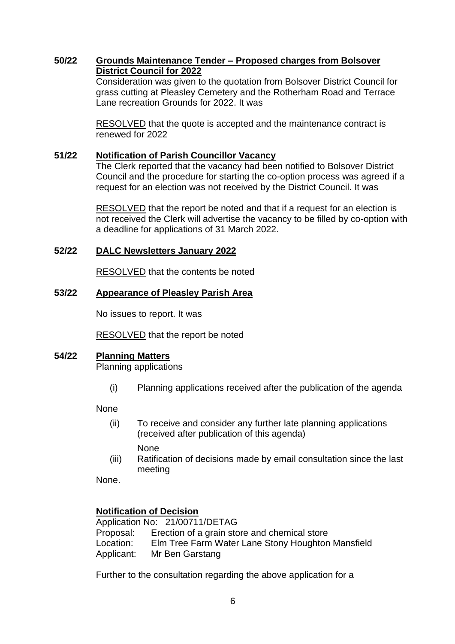## **50/22 Grounds Maintenance Tender – Proposed charges from Bolsover District Council for 2022**

Consideration was given to the quotation from Bolsover District Council for grass cutting at Pleasley Cemetery and the Rotherham Road and Terrace Lane recreation Grounds for 2022. It was

RESOLVED that the quote is accepted and the maintenance contract is renewed for 2022

## **51/22 Notification of Parish Councillor Vacancy**

The Clerk reported that the vacancy had been notified to Bolsover District Council and the procedure for starting the co-option process was agreed if a request for an election was not received by the District Council. It was

RESOLVED that the report be noted and that if a request for an election is not received the Clerk will advertise the vacancy to be filled by co-option with a deadline for applications of 31 March 2022.

## **52/22 DALC Newsletters January 2022**

RESOLVED that the contents be noted

## **53/22 Appearance of Pleasley Parish Area**

No issues to report. It was

RESOLVED that the report be noted

## **54/22 Planning Matters**

Planning applications

(i) Planning applications received after the publication of the agenda

None

- (ii) To receive and consider any further late planning applications (received after publication of this agenda) None
- (iii) Ratification of decisions made by email consultation since the last meeting

None.

## **Notification of Decision**

Application No: 21/00711/DETAG Proposal: Erection of a grain store and chemical store Location: Elm Tree Farm Water Lane Stony Houghton Mansfield Applicant: Mr Ben Garstang

Further to the consultation regarding the above application for a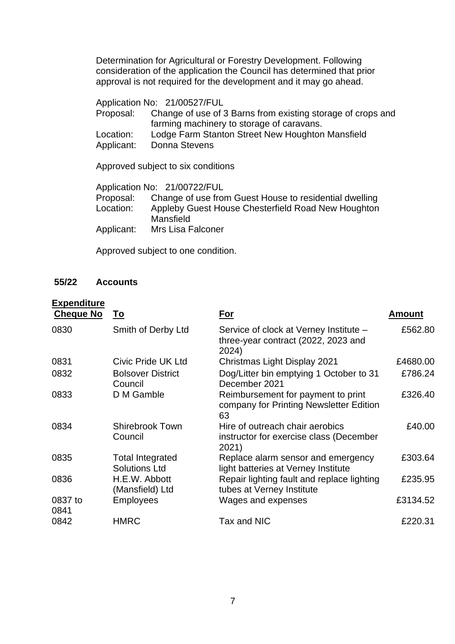Determination for Agricultural or Forestry Development. Following consideration of the application the Council has determined that prior approval is not required for the development and it may go ahead.

Application No: 21/00527/FUL Proposal: Change of use of 3 Barns from existing storage of crops and farming machinery to storage of caravans. Location: Lodge Farm Stanton Street New Houghton Mansfield Applicant: Donna Stevens

Approved subject to six conditions

Application No: 21/00722/FUL Proposal: Change of use from Guest House to residential dwelling Location: Appleby Guest House Chesterfield Road New Houghton Mansfield Applicant: Mrs Lisa Falconer

Approved subject to one condition.

## **55/22 Accounts**

#### **Expenditure**

| <b>Cheque No</b> | To                                              | <u>For</u>                                                                             | Amount   |
|------------------|-------------------------------------------------|----------------------------------------------------------------------------------------|----------|
| 0830             | Smith of Derby Ltd                              | Service of clock at Verney Institute -<br>three-year contract (2022, 2023 and<br>2024) | £562.80  |
| 0831             | Civic Pride UK Ltd                              | Christmas Light Display 2021                                                           | £4680.00 |
| 0832             | <b>Bolsover District</b><br>Council             | Dog/Litter bin emptying 1 October to 31<br>December 2021                               | £786.24  |
| 0833             | D M Gamble                                      | Reimbursement for payment to print<br>company for Printing Newsletter Edition<br>63    | £326.40  |
| 0834             | <b>Shirebrook Town</b><br>Council               | Hire of outreach chair aerobics<br>instructor for exercise class (December<br>2021)    | £40.00   |
| 0835             | <b>Total Integrated</b><br><b>Solutions Ltd</b> | Replace alarm sensor and emergency<br>light batteries at Verney Institute              | £303.64  |
| 0836             | H.E.W. Abbott<br>(Mansfield) Ltd                | Repair lighting fault and replace lighting<br>tubes at Verney Institute                | £235.95  |
| 0837 to<br>0841  | <b>Employees</b>                                | Wages and expenses                                                                     | £3134.52 |
| 0842             | <b>HMRC</b>                                     | Tax and NIC                                                                            | £220.31  |